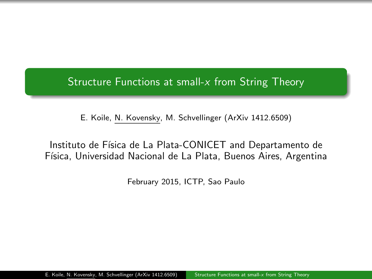<span id="page-0-0"></span>Structure Functions at small-x from String Theory

E. Koile, N. Kovensky, M. Schvellinger (ArXiv 1412.6509)

Instituto de Física de La Plata-CONICET and Departamento de Física, Universidad Nacional de La Plata, Buenos Aires, Argentina

February 2015, ICTP, Sao Paulo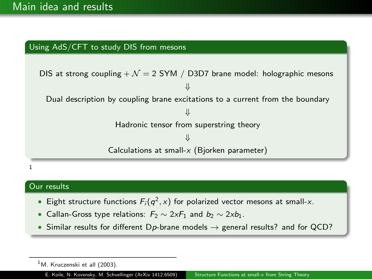### Using AdS/CFT to study DIS from mesons



#### 1

### Our results

- Eight structure functions  $F_i(q^2, x)$  for polarized vector mesons at small-x.
- Callan-Gross type relations:  $F_2 \sim 2xF_1$  and  $b_2 \sim 2xb_1$ .
- Similar results for different Dp-brane models  $\rightarrow$  general results? and for QCD?

 $<sup>1</sup>M$ . Kruczenski et all (2003).</sup>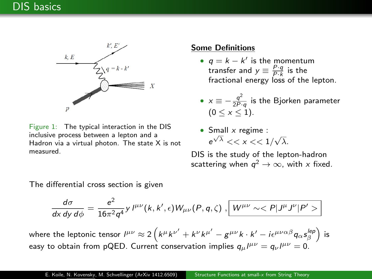

Figure 1: The typical interaction in the DIS inclusive process between a lepton and a Hadron via a virtual photon. The state X is not measured.

#### Some Definitions

- $q = k k'$  is the momentum transfer and  $y \equiv \frac{P \cdot q}{P \cdot k}$  is the fractional energy loss of the lepton.
- $x \equiv -\frac{q^2}{2R}$  $\frac{q}{2P\cdot q}$  is the Bjorken parameter  $(0 < x < 1)$ .
- Small  $x$  regime :  $e^{\sqrt{\lambda}} \ll x \ll 1/\sqrt{\lambda}$ .

DIS is the study of the lepton-hadron scattering when  $q^2\to\infty$ , with  $x$  fixed.

The differential cross section is given

$$
\frac{d\sigma}{d\mathsf{x}\,d\mathsf{y}\,d\phi}=\frac{e^2}{16\pi^2q^4}\mathsf{y}\,l^{\mu\nu}(\mathsf{k},\mathsf{k}',\epsilon)\mathsf{W}_{\mu\nu}(\mathsf{P},\mathsf{q},\zeta)\,,\boxed{\mathsf{W}^{\mu\nu}\sim<\mathsf{P}|\mathsf{J}^{\mu}\mathsf{J}^{\nu}|\mathsf{P}'>}
$$

where the leptonic tensor  $l^{\mu\nu}\approx2\left(k^\mu{k^{\nu}}'+k^\nu{k^{\mu'}}-g^{\mu\nu}k\cdot k'-i\epsilon^{\mu\nu\alpha\beta}q_\alpha s^{lep}_\beta\right)$  is easy to obtain from pQED. Current conservation implies  $q_\mu l^{\mu\nu}=q_\nu l^{\mu\nu}=0.$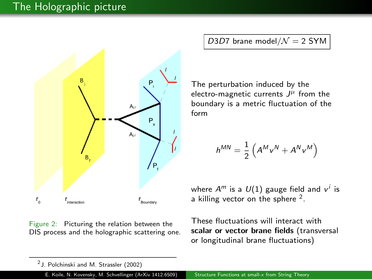## The Holographic picture



Figure 2: Picturing the relation between the DIS process and the holographic scattering one. D3D7 brane model/ $\mathcal{N} = 2$  SYM

The perturbation induced by the electro-magnetic currents  $J^\mu$  from the boundary is a metric fluctuation of the form

$$
h^{MN} = \frac{1}{2} \left( A^M v^N + A^N v^M \right)
$$

where  $A^m$  is a  $\mathit{U}(1)$  gauge field and  $v^i$  is a killing vector on the sphere  $2$ .

These fluctuations will interact with scalar or vector brane fields (transversal or longitudinal brane fluctuations)

 $^2$  J. Polchinski and M. Strassler (2002)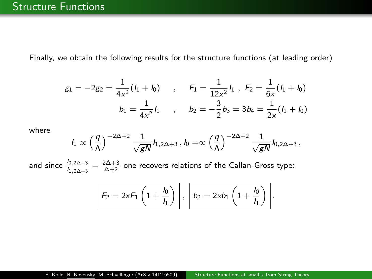Finally, we obtain the following results for the structure functions (at leading order)

$$
g_1 = -2g_2 = \frac{1}{4x^2}(I_1 + I_0) \quad , \quad F_1 = \frac{1}{12x^2}I_1 \quad , \quad F_2 = \frac{1}{6x}(I_1 + I_0)
$$

$$
b_1 = \frac{1}{4x^2}I_1 \quad , \quad b_2 = -\frac{3}{2}b_3 = 3b_4 = \frac{1}{2x}(I_1 + I_0)
$$

where

$$
I_1 \propto \left(\frac{q}{\Lambda}\right)^{-2\Delta+2} \frac{1}{\sqrt{gN}} I_{1,2\Delta+3}, I_0 = \propto \left(\frac{q}{\Lambda}\right)^{-2\Delta+2} \frac{1}{\sqrt{gN}} I_{0,2\Delta+3},
$$

and since  $\frac{l_{0,2\Delta+3}}{l_{1,2\Delta+3}}=\frac{2\Delta+3}{\Delta+2}$  one recovers relations of the Callan-Gross type:

$$
\mathcal{F}_2 = 2 \times F_1 \left(1 + \frac{l_0}{l_1}\right), \quad b_2 = 2 \times b_1 \left(1 + \frac{l_0}{l_1}\right).
$$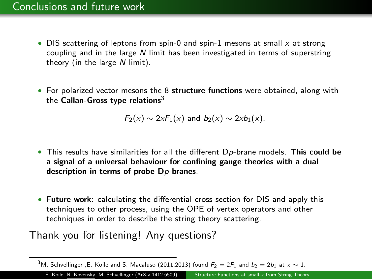- DIS scattering of leptons from spin-0 and spin-1 mesons at small  $x$  at strong coupling and in the large N limit has been investigated in terms of superstring theory (in the large  $N$  limit).
- For polarized vector mesons the 8 structure functions were obtained, along with the Callan-Gross type relations<sup>3</sup>

 $F_2(x) \sim 2xF_1(x)$  and  $b_2(x) \sim 2xb_1(x)$ .

- This results have similarities for all the different Dp-brane models. This could be a signal of a universal behaviour for confining gauge theories with a dual description in terms of probe D<sub>p</sub>-branes.
- Future work: calculating the differential cross section for DIS and apply this techniques to other process, using the OPE of vertex operators and other techniques in order to describe the string theory scattering.

# Thank you for listening! Any questions?

E. Koile, N. Kovensky, M. Schvellinger (ArXiv 1412.6509) [Structure Functions at small-](#page-0-0)x from String Theory

<sup>&</sup>lt;sup>3</sup>M. Schvellinger ,E. Koile and S. Macaluso (2011,2013) found  $F_2 = 2F_1$  and  $b_2 = 2b_1$  at  $x \sim 1$ .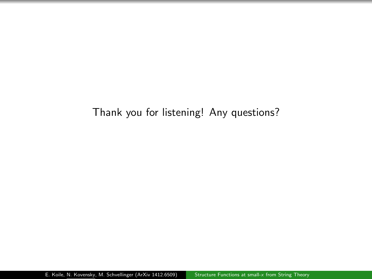# Thank you for listening! Any questions?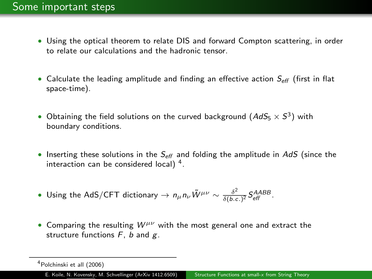- Using the optical theorem to relate DIS and forward Compton scattering, in order to relate our calculations and the hadronic tensor.
- Calculate the leading amplitude and finding an effective action  $S_{\text{eff}}$  (first in flat space-time).
- Obtaining the field solutions on the curved background  $(AdS_5 \times S^3)$  with boundary conditions.
- Inserting these solutions in the  $S_{\text{eff}}$  and folding the amplitude in AdS (since the interaction can be considered local)  $<sup>4</sup>$ .</sup>
- Using the AdS/CFT dictionary  $\rightarrow n_{\mu}n_{\nu}\tilde{W}^{\mu\nu} \sim \frac{\delta^2}{\delta b \kappa^2}$  $\frac{\delta^2}{\delta(b.c.)^2}$   $S_{\text{eff}}^{AABB}$ .
- Comparing the resulting  $W^{\mu\nu}$  with the most general one and extract the structure functions  $F$ ,  $b$  and  $g$ .

<sup>4</sup>Polchinski et all (2006)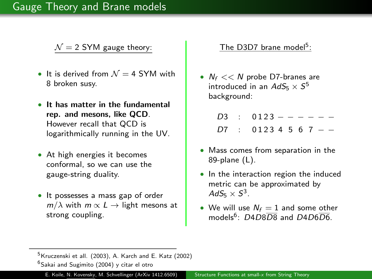### Gauge Theory and Brane models

 $\mathcal{N} = 2$  SYM gauge theory:

- It is derived from  $N = 4$  SYM with 8 broken susy.
- It has matter in the fundamental rep. and mesons, like QCD. However recall that QCD is logarithmically running in the UV.
- At high energies it becomes conformal, so we can use the gauge-string duality.
- It possesses a mass gap of order  $m/\lambda$  with  $m \propto L \rightarrow$  light mesons at strong coupling.

### The D3D7 brane model<sup>5</sup>:

•  $N_f \ll N$  probe D7-branes are introduced in an  $AdS_5\times S^5$ background:

|  | $D3 : 0123 - - - - -$ |
|--|-----------------------|
|  | $D7 : 01234567 -$     |

- Mass comes from separation in the 89-plane (L).
- In the interaction region the induced metric can be approximated by  $AdS_5\times S^3$  .
- We will use  $N_f = 1$  and some other models<sup>6</sup>:  $D4D8\overline{D8}$  and  $D4D6\overline{D6}$ .

 $5$ Kruczenski et all. (2003), A. Karch and E. Katz (2002)  $6$ Sakai and Sugimito (2004) y citar el otro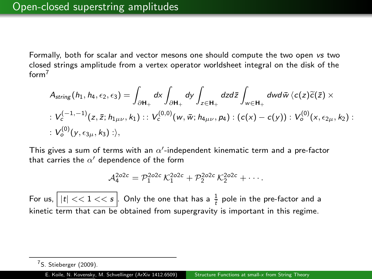Formally, both for scalar and vector mesons one should compute the two open vs two closed strings amplitude from a vertex operator worldsheet integral on the disk of the  $form<sup>7</sup>$ 

$$
A_{string}(h_1, h_4, \epsilon_2, \epsilon_3) = \int_{\partial H_+} dx \int_{\partial H_+} dy \int_{z \in H_+} dz d\overline{z} \int_{w \in H_+} dw d\overline{w} \langle c(z) \widetilde{c}(\overline{z}) \times
$$
  
:  $V_c^{(-1,-1)}(z, \overline{z}; h_{1\mu\nu}, k_1) : : V_c^{(0,0)}(w, \overline{w}; h_{4\mu\nu}, p_4) : (c(x) - c(y)) : V_o^{(0)}(x, \epsilon_{2\mu}, k_2) :$   
:  $V_o^{(0)}(y, \epsilon_{3\mu}, k_3) : \rangle$ ,

This gives a sum of terms with an  $\alpha'$ -independent kinematic term and a pre-factor that carries the  $\alpha'$  dependence of the form

$$
\mathcal{A}_{4}^{2o2c}=\mathcal{P}_{1}^{2o2c}\,\mathcal{K}_{1}^{2o2c}+\mathcal{P}_{2}^{2o2c}\,\mathcal{K}_{2}^{2o2c}+\cdots.
$$

For us,  $\big||t| << 1 << s\big|$ . Only the one that has a  $\frac{1}{\tilde{t}}$  pole in the pre-factor and a kinetic term that can be obtained from supergravity is important in this regime.

<sup>7</sup>S. Stieberger (2009).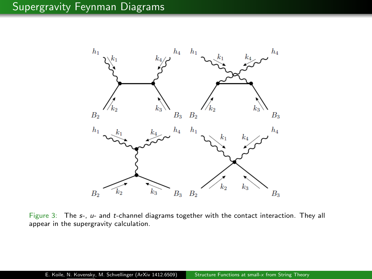# Supergravity Feynman Diagrams



Figure 3: The s-, u- and t-channel diagrams together with the contact interaction. They all appear in the supergravity calculation.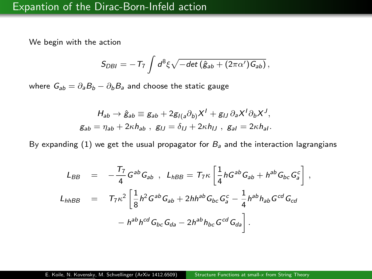We begin with the action

<span id="page-11-0"></span>
$$
S_{DBI} = -T_7 \int d^8 \xi \sqrt{-det(\hat{g}_{ab} + (2\pi \alpha') G_{ab})} \,,
$$

where  $G_{ab} = \partial_a B_b - \partial_b B_a$  and choose the static gauge

$$
H_{ab} \rightarrow \hat{g}_{ab} \equiv g_{ab} + 2g_{I(a}\partial_{b)}X^{I} + g_{IJ}\partial_{a}X^{I}\partial_{b}X^{J},
$$
  
\n
$$
g_{ab} = \eta_{ab} + 2\kappa h_{ab} , \quad g_{IJ} = \delta_{IJ} + 2\kappa h_{IJ} , \quad g_{al} = 2\kappa h_{al}.
$$

By expanding [\(1\)](#page-11-0) we get the usual propagator for  $B_a$  and the interaction lagrangians

$$
L_{BB} = -\frac{T_7}{4} G^{ab} G_{ab} , L_{hBB} = T_7 \kappa \left[ \frac{1}{4} h G^{ab} G_{ab} + h^{ab} G_{bc} G_a^c \right],
$$
  
\n
$$
L_{hhBB} = T_7 \kappa^2 \left[ \frac{1}{8} h^2 G^{ab} G_{ab} + 2 h h^{ab} G_{bc} G_a^c - \frac{1}{4} h^{ab} h_{ab} G^{cd} G_{cd} \right.
$$
  
\n
$$
- h^{ab} h^{cd} G_{bc} G_{da} - 2 h^{ab} h_{bc} G^{cd} G_{da} \right].
$$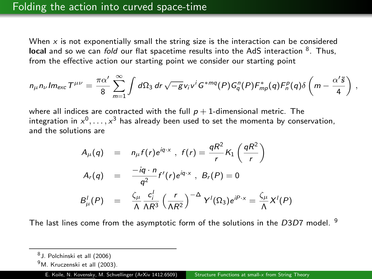When  $x$  is not exponentially small the string size is the interaction can be considered  $\bm{{\mathsf{local}}}$  and so we can *fold* our flat spacetime results into the AdS interaction  $^8$ . Thus, from the effective action our starting point we consider our starting point

$$
n_{\mu}n_{\nu}Im_{exc}\mathcal{T}^{\mu\nu}=\frac{\pi\alpha'}{8}\sum_{m=1}^{\infty}\int d\Omega_3 dr\,\sqrt{-g}v_i v^i G^{*mq}(P)G_q^n(P)\mathcal{F}_{mp}^*(q)\mathcal{F}_n^p(q)\delta\left(m-\frac{\alpha'\tilde{s}}{4}\right),
$$

where all indices are contracted with the full  $p + 1$ -dimensional metric. The integration in  $x^0,\ldots,x^3$  has already been used to set the momenta by conservation, and the solutions are

$$
A_{\mu}(q) = n_{\mu}f(r)e^{iq \cdot x}, \ f(r) = \frac{qR^2}{r}K_1\left(\frac{qR^2}{r}\right)
$$
  

$$
A_r(q) = \frac{-iq \cdot n}{q^2}f'(r)e^{iq \cdot x}, \ B_r(P) = 0
$$
  

$$
B_{\mu}^l(P) = \frac{\zeta_{\mu}}{\Lambda} \frac{c_{\mu}^l}{\Lambda R^3} \left(\frac{r}{\Lambda R^2}\right)^{-\Delta} Y^l(\Omega_3)e^{iP \cdot x} = \frac{\zeta_{\mu}}{\Lambda} X^l(P)
$$

The last lines come from the asymptotic form of the solutions in the  $D3D7$  model. <sup>9</sup>

<sup>8</sup> J. Polchinski et all (2006)

<sup>&</sup>lt;sup>9</sup>M. Kruczenski et all (2003).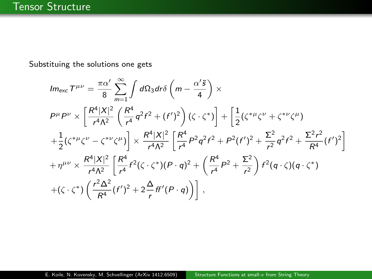Substituing the solutions one gets

$$
Im_{exc}T^{\mu\nu} = \frac{\pi\alpha'}{8} \sum_{m=1}^{\infty} \int d\Omega_3 dr \delta \left( m - \frac{\alpha'}{4} \right) \times
$$
  
\n
$$
P^{\mu}P^{\nu} \times \left[ \frac{R^4|X|^2}{r^4\Lambda^2} \left( \frac{R^4}{r^4} q^2 f^2 + (f')^2 \right) (\zeta \cdot \zeta^*) \right] + \left[ \frac{1}{2} (\zeta^{*\mu} \zeta^{\nu} + \zeta^{*\nu} \zeta^{\mu}) \right.
$$
  
\n
$$
+ \frac{1}{2} (\zeta^{*\mu} \zeta^{\nu} - \zeta^{*\nu} \zeta^{\mu}) \right] \times \frac{R^4|X|^2}{r^4\Lambda^2} \left[ \frac{R^4}{r^4} P^2 q^2 f^2 + P^2 (f')^2 + \frac{\Sigma^2}{r^2} q^2 f^2 + \frac{\Sigma^2 r^2}{R^4} (f')^2 \right]
$$
  
\n
$$
+ \eta^{\mu\nu} \times \frac{R^4|X|^2}{r^4\Lambda^2} \left[ \frac{R^4}{r^4} f^2 (\zeta \cdot \zeta^*) (P \cdot q)^2 + \left( \frac{R^4}{r^4} P^2 + \frac{\Sigma^2}{r^2} \right) f^2 (q \cdot \zeta) (q \cdot \zeta^*)
$$
  
\n
$$
+ (\zeta \cdot \zeta^*) \left( \frac{r^2 \Delta^2}{R^4} (f')^2 + 2 \frac{\Delta}{r} f f'(P \cdot q) \right) \right],
$$